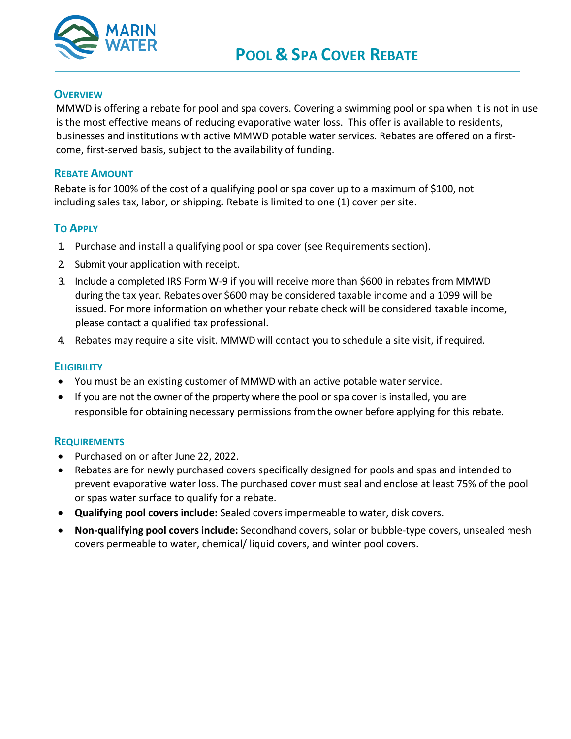

#### **OVERVIEW**

MMWD is offering a rebate for pool and spa covers. Covering a swimming pool or spa when it is not in use is the most effective means of reducing evaporative water loss. This offer is available to residents, businesses and institutions with active MMWD potable water services. Rebates are offered on a firstcome, first-served basis, subject to the availability of funding.

#### **REBATE AMOUNT**

Rebate is for 100% of the cost of a qualifying pool or spa cover up to a maximum of \$100, not including sales tax, labor, or shipping*.* Rebate is limited to one (1) cover per site.

### **TO APPLY**

- 1. Purchase and install a qualifying pool or spa cover (see Requirements section).
- 2. Submit your application with receipt.
- 3. Include a completed IRS Form W-9 if you will receive more than \$600 in rebates from MMWD during the tax year. Rebatesover \$600 may be considered taxable income and a 1099 will be issued. For more information on whether your rebate check will be considered taxable income, please contact a qualified tax professional.
- 4. Rebates may require a site visit. MMWD will contact you to schedule a site visit, if required.

#### **ELIGIBILITY**

- You must be an existing customer of MMWD with an active potable water service.
- If you are not the owner of the property where the pool or spa cover is installed, you are responsible for obtaining necessary permissions from the owner before applying for this rebate.

#### **REQUIREMENTS**

- Purchased on or after June 22, 2022.
- Rebates are for newly purchased covers specifically designed for pools and spas and intended to prevent evaporative water loss. The purchased cover must seal and enclose at least 75% of the pool or spas water surface to qualify for a rebate.
- **Qualifying pool covers include:** Sealed covers impermeable to water, disk covers.
- **Non-qualifying pool covers include:** Secondhand covers, solar or bubble-type covers, unsealed mesh covers permeable to water, chemical/ liquid covers, and winter pool covers.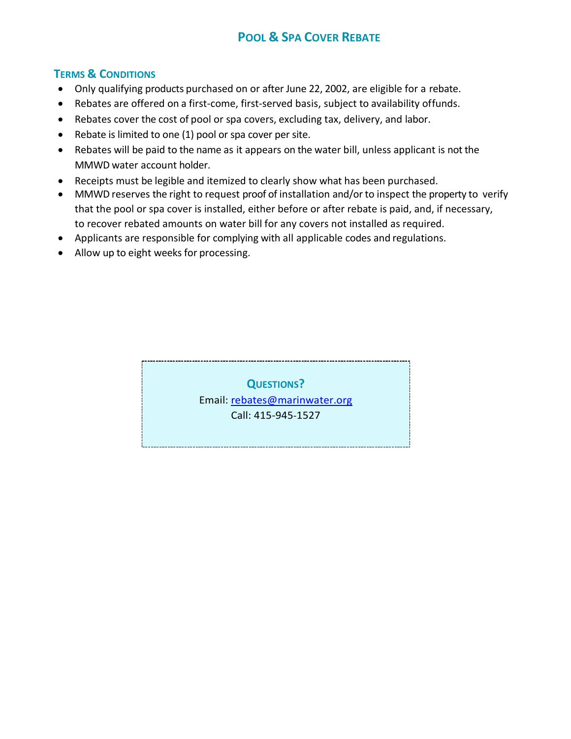# **POOL & SPA COVER REBATE**

### **TERMS & CONDITIONS**

- Only qualifying products purchased on or after June 22, 2002, are eligible for a rebate.
- Rebates are offered on a first-come, first-served basis, subject to availability offunds.
- Rebates cover the cost of pool or spa covers, excluding tax, delivery, and labor.
- Rebate is limited to one (1) pool or spa cover per site.
- Rebates will be paid to the name as it appears on the water bill, unless applicant is not the MMWD water account holder.
- Receipts must be legible and itemized to clearly show what has been purchased.
- MMWD reserves the right to request proof of installation and/or to inspect the property to verify that the pool or spa cover is installed, either before or after rebate is paid, and, if necessary, to recover rebated amounts on water bill for any covers not installed as required.
- Applicants are responsible for complying with all applicable codes and regulations.
- Allow up to eight weeks for processing.

**QUESTIONS?** Email: [rebates@marinwater.org](mailto:rebates@marinwater.org) Call: 415-945-1527